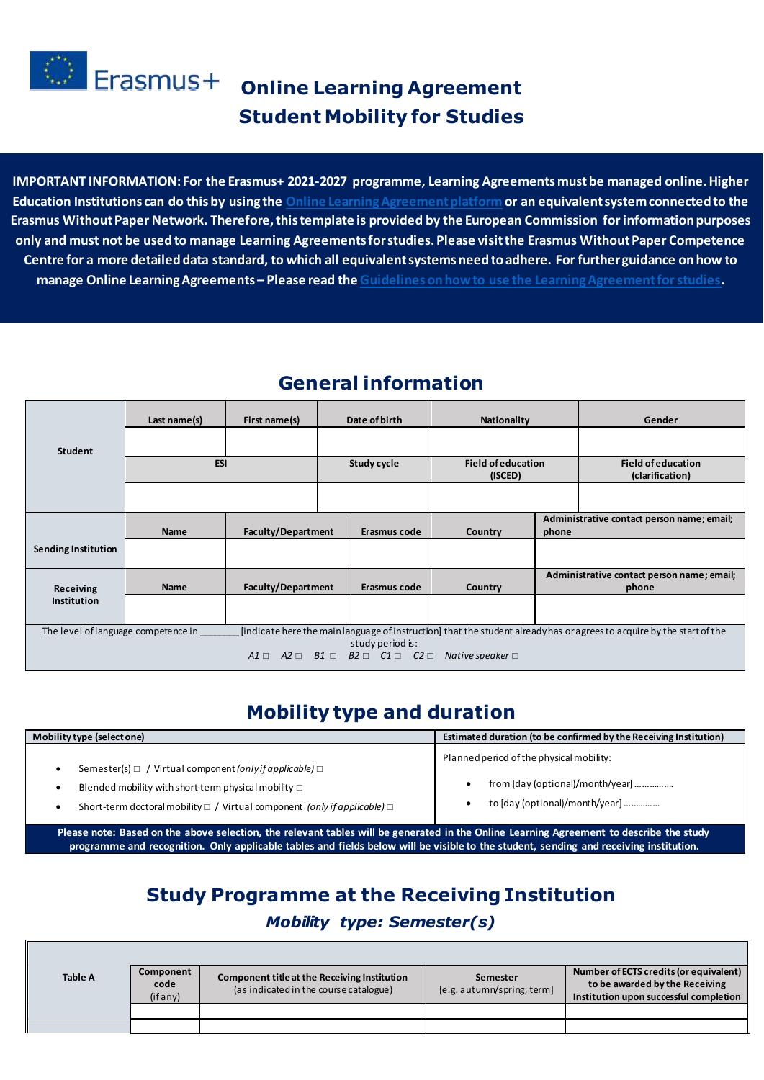

# **Crasmus+** online Learning Agreement **Student Mobility for Studies**

**IMPORTANT INFORMATION: For the Erasmus+ 2021-2027 programme, Learning Agreements must be managed online. Higher Education Institutions can do this by using the [Online Learning Agreement platform](https://learning-agreement.eu/) or an equivalent system connected to the Erasmus Without Paper Network. Therefore, this template is provided by the European Commission for information purposes only and must not be used to manage Learning Agreements for studies. Please visit the Erasmus Without Paper Competence Centre for a more detailed data standard, to which all equivalent systems need to adhere. For further guidance on how to manage Online Learning Agreements – Please read the [Guidelines on how to use the Learning Agreement for studies.](https://ec.europa.eu/programmes/erasmus-plus/resources/documents/guidelines-how-use-learning-agreement-studies_en)** 

### **General information**

|                     | Last name(s)                                                                                                                                                                      | First name(s)             |  | Date of birth                                                                 | <b>Nationality</b>                   |                                                     | Gender                                              |  |
|---------------------|-----------------------------------------------------------------------------------------------------------------------------------------------------------------------------------|---------------------------|--|-------------------------------------------------------------------------------|--------------------------------------|-----------------------------------------------------|-----------------------------------------------------|--|
| <b>Student</b>      |                                                                                                                                                                                   |                           |  |                                                                               |                                      |                                                     |                                                     |  |
|                     | <b>ESI</b>                                                                                                                                                                        |                           |  | Study cycle                                                                   | <b>Field of education</b><br>(ISCED) |                                                     | <b>Field of education</b><br>(clarification)        |  |
|                     |                                                                                                                                                                                   |                           |  |                                                                               |                                      |                                                     |                                                     |  |
|                     | <b>Name</b>                                                                                                                                                                       | <b>Faculty/Department</b> |  | Erasmus code                                                                  | Country                              | Administrative contact person name; email;<br>phone |                                                     |  |
| Sending Institution |                                                                                                                                                                                   |                           |  |                                                                               |                                      |                                                     |                                                     |  |
| Receiving           | <b>Name</b>                                                                                                                                                                       | <b>Faculty/Department</b> |  | Erasmus code                                                                  | Country                              |                                                     | Administrative contact person name; email;<br>phone |  |
| <b>Institution</b>  |                                                                                                                                                                                   |                           |  |                                                                               |                                      |                                                     |                                                     |  |
|                     | [indicate here the main language of instruction] that the student already has or agrees to acquire by the start of the<br>The level of language competence in<br>study period is: |                           |  |                                                                               |                                      |                                                     |                                                     |  |
|                     |                                                                                                                                                                                   |                           |  | $A1 \square$ $A2 \square$ $B1 \square$ $B2 \square$ $C1 \square$ $C2 \square$ | Native speaker $\Box$                |                                                     |                                                     |  |

# **Mobility type and duration**

| Mobility type (select one)                                                                 | Estimated duration (to be confirmed by the Receiving Institution) |  |  |
|--------------------------------------------------------------------------------------------|-------------------------------------------------------------------|--|--|
| Semester(s) $\Box$ / Virtual component (only if applicable) $\Box$                         | Planned period of the physical mobility:                          |  |  |
| Blended mobility with short-term physical mobility $\square$                               | from [day (optional)/month/year]                                  |  |  |
| Short-term doctoral mobility $\Box$ / Virtual component <i>(only if applicable)</i> $\Box$ | to [day (optional)/month/year]                                    |  |  |

**Please note: Based on the above selection, the relevant tables will be generated in the Online Learning Agreement to describe the study programme and recognition. Only applicable tables and fields below will be visible to the student, sending and receiving institution.**

# **Study Programme at the Receiving Institution**

#### *Mobility type: Semester(s)*

| <b>Table A</b> | Component<br>code<br>(ifany) | Component title at the Receiving Institution<br>(as indicated in the course catalogue) | Semester<br>$[e.g.$ autumn/spring; term | Number of ECTS credits (or equivalent)<br>to be awarded by the Receiving<br>Institution upon successful completion |
|----------------|------------------------------|----------------------------------------------------------------------------------------|-----------------------------------------|--------------------------------------------------------------------------------------------------------------------|
|                |                              |                                                                                        |                                         |                                                                                                                    |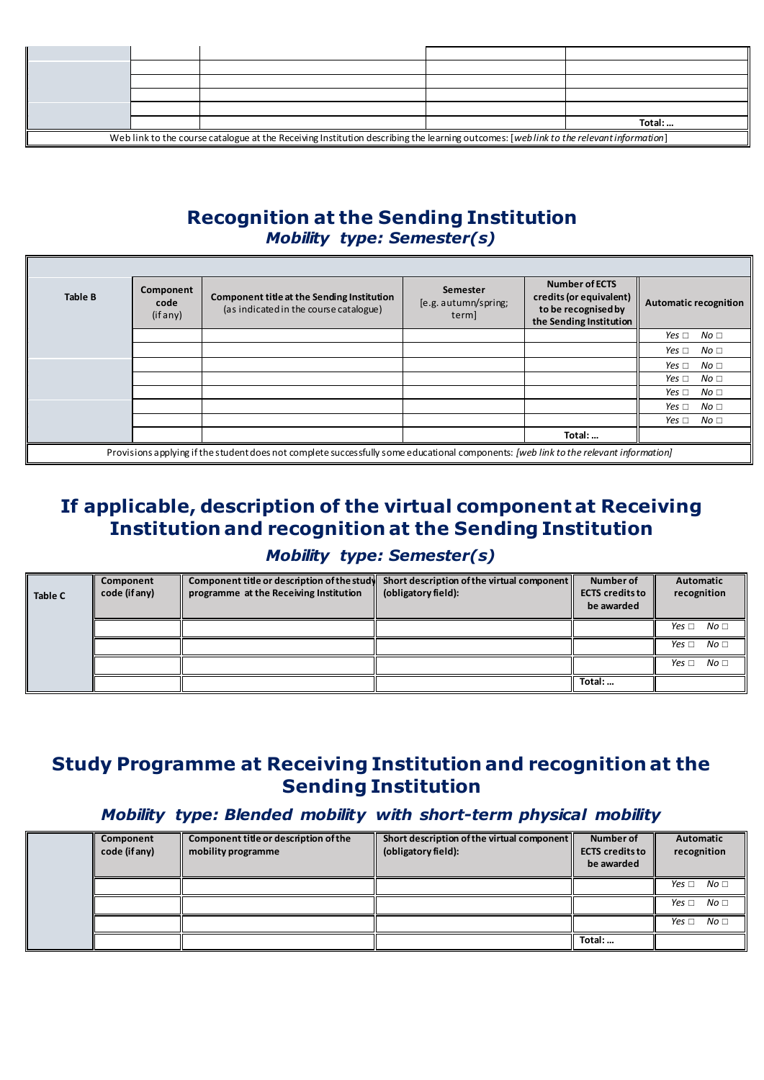|                                                                                                                                        |  |  | Total: |  |  |  |
|----------------------------------------------------------------------------------------------------------------------------------------|--|--|--------|--|--|--|
| Web link to the course catalogue at the Receiving Institution describing the learning outcomes: [web link to the relevant information] |  |  |        |  |  |  |

### **Recognition at the Sending Institution** *Mobility type: Semester(s)*

| <b>Table B</b> | Component<br>code<br>(if any) | Component title at the Sending Institution<br>(as indicated in the course catalogue)                                                  | Semester<br>[e.g. autumn/spring;<br>term | <b>Number of ECTS</b><br>credits (or equivalent)<br>to be recognised by<br>the Sending Institution | Automatic recognition         |
|----------------|-------------------------------|---------------------------------------------------------------------------------------------------------------------------------------|------------------------------------------|----------------------------------------------------------------------------------------------------|-------------------------------|
|                |                               |                                                                                                                                       |                                          |                                                                                                    | No <sub>1</sub><br>Yes $\Box$ |
|                |                               |                                                                                                                                       |                                          |                                                                                                    | No <sub>1</sub><br>Yes $\Box$ |
|                |                               |                                                                                                                                       |                                          |                                                                                                    | No <sub>1</sub><br>Yes $\Box$ |
|                |                               |                                                                                                                                       |                                          |                                                                                                    | No <sub>1</sub><br>Yes $\Box$ |
|                |                               |                                                                                                                                       |                                          |                                                                                                    | No <sub>1</sub><br>Yes $\Box$ |
|                |                               |                                                                                                                                       |                                          |                                                                                                    | No <sub>1</sub><br>Yes $\Box$ |
|                |                               |                                                                                                                                       |                                          |                                                                                                    | No <sub>1</sub><br>Yes $\Box$ |
|                |                               |                                                                                                                                       |                                          | Total:                                                                                             |                               |
|                |                               | Provisions applying if the student does not complete successfully some educational components: (web link to the relevant information) |                                          |                                                                                                    |                               |

# **If applicable, description of the virtual component at Receiving Institution and recognition at the Sending Institution**

#### *Mobility type: Semester(s)*

| <b>Table C</b> | Component<br>code (if any) | Component title or description of the study<br>programme at the Receiving Institution | Short description of the virtual component<br>(obligatory field): | Number of<br><b>ECTS</b> credits to<br>be awarded | Automatic<br>recognition        |
|----------------|----------------------------|---------------------------------------------------------------------------------------|-------------------------------------------------------------------|---------------------------------------------------|---------------------------------|
|                |                            |                                                                                       |                                                                   |                                                   | No <sub>1</sub><br>Yes $\Box$   |
|                |                            |                                                                                       |                                                                   |                                                   | No <sub>1</sub><br>Yes $\sqcap$ |
|                |                            |                                                                                       |                                                                   |                                                   | No <sub>1</sub><br>Yes $\sqcap$ |
|                |                            |                                                                                       |                                                                   | Total:                                            |                                 |

### **Study Programme at Receiving Institution and recognition at the Sending Institution**

#### *Mobility type: Blended mobility with short-term physical mobility*

| Component<br>code (if any) | Component title or description of the<br>mobility programme | Short description of the virtual component<br>(obligatory field): | Number of<br><b>ECTS</b> credits to<br>be awarded | Automatic<br>recognition      |
|----------------------------|-------------------------------------------------------------|-------------------------------------------------------------------|---------------------------------------------------|-------------------------------|
|                            |                                                             |                                                                   |                                                   | No <sub>1</sub><br>Yes $\Box$ |
|                            |                                                             |                                                                   |                                                   | No <sub>1</sub><br>Yes $\Box$ |
|                            |                                                             |                                                                   |                                                   | No <sub>1</sub><br>Yes $\Box$ |
|                            |                                                             |                                                                   | Total:                                            |                               |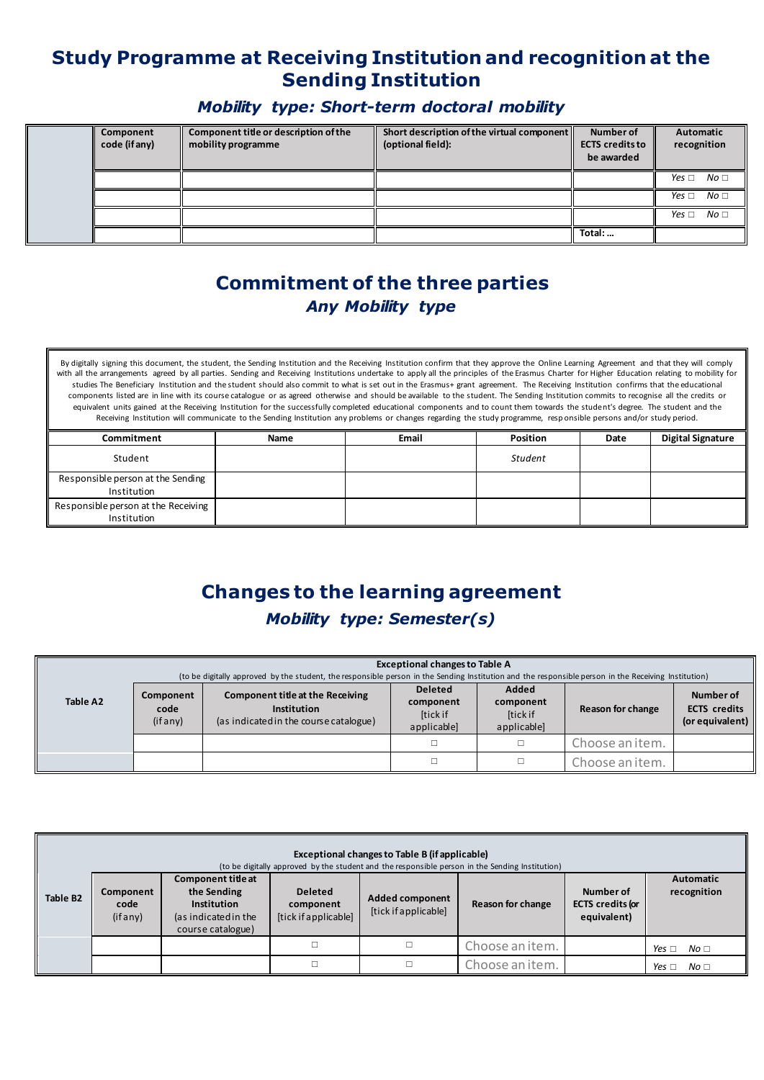# **Study Programme at Receiving Institution and recognition at the Sending Institution**

#### *Mobility type: Short-term doctoral mobility*

| Component<br>code (if any) | Component title or description of the<br>mobility programme | Short description of the virtual component<br>(optional field): | Number of<br><b>ECTS</b> credits to<br>be awarded | Automatic<br>recognition      |
|----------------------------|-------------------------------------------------------------|-----------------------------------------------------------------|---------------------------------------------------|-------------------------------|
|                            |                                                             |                                                                 |                                                   | No <sub>1</sub><br>Yes $\Box$ |
|                            |                                                             |                                                                 |                                                   | Yes $\Box$ No $\Box$          |
|                            |                                                             |                                                                 |                                                   | No <sub>1</sub><br>Yes $\Box$ |
|                            |                                                             |                                                                 | Total:                                            |                               |

## **Commitment of the three parties**  *Any Mobility type*

By digitally signing this document, the student, the Sending Institution and the Receiving Institution confirm that they approve the Online Learning Agreement and that they will comply with all the arrangements agreed by all parties. Sending and Receiving Institutions undertake to apply all the principles of the Erasmus Charter for Higher Education relating to mobility for studies The Beneficiary Institution and the student should also commit to what is set out in the Erasmus+ grant agreement. The Receiving Institution confirms that the educational components listed are in line with its course catalogue or as agreed otherwise and should be available to the student. The Sending Institution commits to recognise all the credits or equivalent units gained at the Receiving Institution for the successfully completed educational components and to count them towards the student's degree. The student and the Receiving Institution will communicate to the Sending Institution any problems or changes regarding the study programme, resp onsible persons and/or study period.

| Commitment                                         | Name | Email | <b>Position</b> | Date | <b>Digital Signature</b> |
|----------------------------------------------------|------|-------|-----------------|------|--------------------------|
| Student                                            |      |       | Student         |      |                          |
| Responsible person at the Sending<br>Institution   |      |       |                 |      |                          |
| Responsible person at the Receiving<br>Institution |      |       |                 |      |                          |

# **Changes to the learning agreement**

#### *Mobility type: Semester(s)*

|          |                              | <b>Exceptional changes to Table A</b><br>(to be digitally approved by the student, the responsible person in the Sending Institution and the responsible person in the Receiving Institution) |                                                               |                                               |                   |                                                     |  |  |  |
|----------|------------------------------|-----------------------------------------------------------------------------------------------------------------------------------------------------------------------------------------------|---------------------------------------------------------------|-----------------------------------------------|-------------------|-----------------------------------------------------|--|--|--|
| Table A2 | Component<br>code<br>(ifany) | <b>Component title at the Receiving</b><br>Institution<br>(as indicated in the course catalogue)                                                                                              | <b>Deleted</b><br>component<br><b>Itick if</b><br>applicable] | Added<br>component<br>[tick if<br>applicable] | Reason for change | Number of<br><b>ECTS</b> credits<br>(or equivalent) |  |  |  |
|          |                              |                                                                                                                                                                                               |                                                               |                                               | Choose an item.   |                                                     |  |  |  |
|          |                              |                                                                                                                                                                                               |                                                               |                                               | Choose an item.   |                                                     |  |  |  |

|                                                                                                                                                                                                                                                                                                                                                      | Exceptional changes to Table B (if applicable)<br>(to be digitally approved by the student and the responsible person in the Sending Institution) |  |  |  |                 |                                 |                               |  |  |  |
|------------------------------------------------------------------------------------------------------------------------------------------------------------------------------------------------------------------------------------------------------------------------------------------------------------------------------------------------------|---------------------------------------------------------------------------------------------------------------------------------------------------|--|--|--|-----------------|---------------------------------|-------------------------------|--|--|--|
| <b>Component title at</b><br>the Sending<br><b>Deleted</b><br>Number of<br>Component<br><b>Table B2</b><br><b>Added component</b><br><b>ECTS</b> credits for<br>Reason for change<br><b>Institution</b><br>code<br>component<br>[tick if applicable]<br>[tick if applicable]<br>equivalent)<br>(if any)<br>(as indicated in the<br>course catalogue) |                                                                                                                                                   |  |  |  |                 | <b>Automatic</b><br>recognition |                               |  |  |  |
|                                                                                                                                                                                                                                                                                                                                                      |                                                                                                                                                   |  |  |  | Choose an item. |                                 | Yes $\Box$<br>No <sub>1</sub> |  |  |  |
|                                                                                                                                                                                                                                                                                                                                                      |                                                                                                                                                   |  |  |  | Choose an item. |                                 | Yes $\Box$<br>No <sub>1</sub> |  |  |  |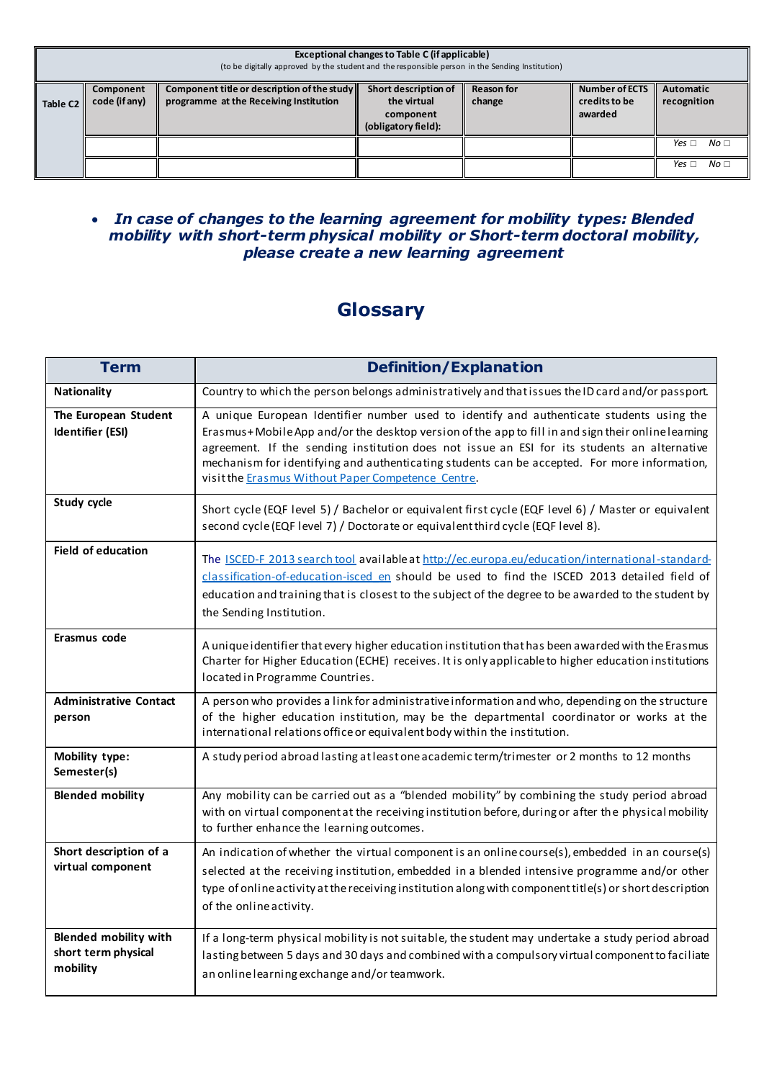| Exceptional changes to Table C (if applicable)<br>(to be digitally approved by the student and the responsible person in the Sending Institution) |                            |                                                                                       |                                                                         |                             |                                                   |                                 |  |  |  |
|---------------------------------------------------------------------------------------------------------------------------------------------------|----------------------------|---------------------------------------------------------------------------------------|-------------------------------------------------------------------------|-----------------------------|---------------------------------------------------|---------------------------------|--|--|--|
| <b>Table C2</b>                                                                                                                                   | Component<br>code (if any) | Component title or description of the study<br>programme at the Receiving Institution | Short description of<br>the virtual<br>component<br>(obligatory field): | <b>Reason for</b><br>change | <b>Number of ECTS</b><br>credits to be<br>awarded | Automatic<br>recognition        |  |  |  |
|                                                                                                                                                   |                            |                                                                                       |                                                                         |                             |                                                   | No <sub>1</sub><br>Yes $\sqcap$ |  |  |  |
|                                                                                                                                                   |                            |                                                                                       |                                                                         |                             |                                                   | No <sub>1</sub><br>Yes $\Box$   |  |  |  |

#### *In case of changes to the learning agreement for mobility types: Blended mobility with short-term physical mobility or Short-term doctoral mobility, please create a new learning agreement*

# **Glossary**

| <b>Term</b>                                                     | <b>Definition/Explanation</b>                                                                                                                                                                                                                                                                                                                                                                                                                       |
|-----------------------------------------------------------------|-----------------------------------------------------------------------------------------------------------------------------------------------------------------------------------------------------------------------------------------------------------------------------------------------------------------------------------------------------------------------------------------------------------------------------------------------------|
| Nationality                                                     | Country to which the person belongs administratively and that issues the ID card and/or passport.                                                                                                                                                                                                                                                                                                                                                   |
| The European Student<br>Identifier (ESI)                        | A unique European Identifier number used to identify and authenticate students using the<br>Erasmus+Mobile App and/or the desktop version of the app to fill in and sign their online learning<br>agreement. If the sending institution does not issue an ESI for its students an alternative<br>mechanism for identifying and authenticating students can be accepted. For more information,<br>visit the Erasmus Without Paper Competence Centre. |
| Study cycle                                                     | Short cycle (EQF level 5) / Bachelor or equivalent first cycle (EQF level 6) / Master or equivalent<br>second cycle (EQF level 7) / Doctorate or equivalent third cycle (EQF level 8).                                                                                                                                                                                                                                                              |
| <b>Field of education</b>                                       | The ISCED-F 2013 search tool available at http://ec.europa.eu/education/international-standard-<br>classification-of-education-isced en should be used to find the ISCED 2013 detailed field of<br>education and training that is closest to the subject of the degree to be awarded to the student by<br>the Sending Institution.                                                                                                                  |
| Erasmus code                                                    | A unique identifier that every higher education institution that has been awarded with the Erasmus<br>Charter for Higher Education (ECHE) receives. It is only applicable to higher education institutions<br>located in Programme Countries.                                                                                                                                                                                                       |
| <b>Administrative Contact</b><br>person                         | A person who provides a link for administrative information and who, depending on the structure<br>of the higher education institution, may be the departmental coordinator or works at the<br>international relations office or equivalent body within the institution.                                                                                                                                                                            |
| Mobility type:<br>Semester(s)                                   | A study period abroad lasting at least one academic term/trimester or 2 months to 12 months                                                                                                                                                                                                                                                                                                                                                         |
| <b>Blended mobility</b>                                         | Any mobility can be carried out as a "blended mobility" by combining the study period abroad<br>with on virtual component at the receiving institution before, during or after the physical mobility<br>to further enhance the learning outcomes.                                                                                                                                                                                                   |
| Short description of a<br>virtual component                     | An indication of whether the virtual component is an online course(s), embedded in an course(s)<br>selected at the receiving institution, embedded in a blended intensive programme and/or other<br>type of online activity at the receiving institution along with component title(s) or short description<br>of the online activity.                                                                                                              |
| <b>Blended mobility with</b><br>short term physical<br>mobility | If a long-term physical mobility is not suitable, the student may undertake a study period abroad<br>lasting between 5 days and 30 days and combined with a compulsory virtual component to faciliate<br>an online learning exchange and/or teamwork.                                                                                                                                                                                               |